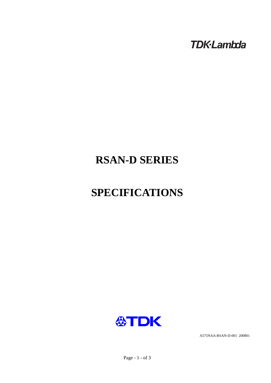**TDK-Lambda** 

# **RSAN-D SERIES**

# **SPECIFICATIONS**



A575NAA-RSAN-D-001 200801

Page - 1 - of 3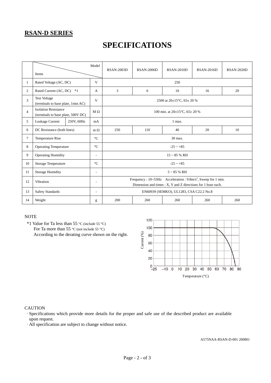### **RSAN-D SERIES**

## **SPECIFICATIONS**

|                | Model<br>Items                                                    |            |                          | <b>RSAN-2003D</b>                                                                                                                                        | <b>RSAN-2006D</b> | <b>RSAN-2010D</b> | <b>RSAN-2016D</b> | <b>RSAN-2020D</b> |  |  |
|----------------|-------------------------------------------------------------------|------------|--------------------------|----------------------------------------------------------------------------------------------------------------------------------------------------------|-------------------|-------------------|-------------------|-------------------|--|--|
| 1              | Rated Voltage (AC, DC)                                            |            | V                        | 250                                                                                                                                                      |                   |                   |                   |                   |  |  |
| 2              | Rated Current (AC, DC)<br>$*1$                                    |            | A                        | 3                                                                                                                                                        | 6                 | 10                | 16                | 20                |  |  |
| 3              | <b>Test Voltage</b><br>(terminals to base plate, 1min AC)         |            | V                        | 2500 at $20\pm15^{\circ}$ C, 65 $\pm$ 20 %                                                                                                               |                   |                   |                   |                   |  |  |
| $\overline{4}$ | <b>Isolation Resistance</b><br>(terminals to base plate, 500V DC) |            | $M \Omega$               | 100 min. at $20\pm15^{\circ}$ C, $65\pm20^{\circ}$ %                                                                                                     |                   |                   |                   |                   |  |  |
| 5              | Leakage Current                                                   | 250V, 60Hz | mA                       | 1 max.                                                                                                                                                   |                   |                   |                   |                   |  |  |
| 6              | DC Resistance (both lines)                                        |            | $m \Omega$               | 250                                                                                                                                                      | 110               | 40                | 20                | 10                |  |  |
| 7              | <b>Temperature Rise</b>                                           |            | $\rm ^{\circ}C$          | 30 max.                                                                                                                                                  |                   |                   |                   |                   |  |  |
| 8              | <b>Operating Temperature</b>                                      |            | $^{\circ}C$              | $-25 \sim +85$                                                                                                                                           |                   |                   |                   |                   |  |  |
| 9              | <b>Operating Humidity</b>                                         |            | $\overline{\phantom{a}}$ | $15 \sim 85$ % RH                                                                                                                                        |                   |                   |                   |                   |  |  |
| 10             | <b>Storage Temperature</b>                                        |            | $\rm ^{\circ}C$          | $-25 - +85$                                                                                                                                              |                   |                   |                   |                   |  |  |
| 11             | <b>Storage Humidity</b>                                           |            | $\sim$                   | $5 \sim 85$ % RH                                                                                                                                         |                   |                   |                   |                   |  |  |
| 12             | Vibration                                                         |            | $\overline{\phantom{a}}$ | Frequency : $10 \sim 55$ Hz Acceleration : $9.8$ m/s <sup>2</sup> , Sweep for 1 min.<br>Dimension and times $: X, Y$ and $Z$ directions for 1 hour each. |                   |                   |                   |                   |  |  |
| 13             | <b>Safety Standards</b>                                           |            | $\overline{\phantom{a}}$ | EN60939 (SEMKO), UL1283, CSA C22.2 No.8                                                                                                                  |                   |                   |                   |                   |  |  |
| 14             | Weight                                                            |            | g                        | 200                                                                                                                                                      | 260               | 260               | 260               | 260               |  |  |

#### **NOTE**

 \*1 Value for Ta less than 55 °C (include 55 °C) For Ta more than 55 °C (not include 55 °C) According to the derating curve shown on the right.



#### **CAUTION**

·Specifications which provide more details for the proper and safe use of the described product are available upon request.

·All specification are subject to change without notice.

A575NAA-RSAN-D-001 200801